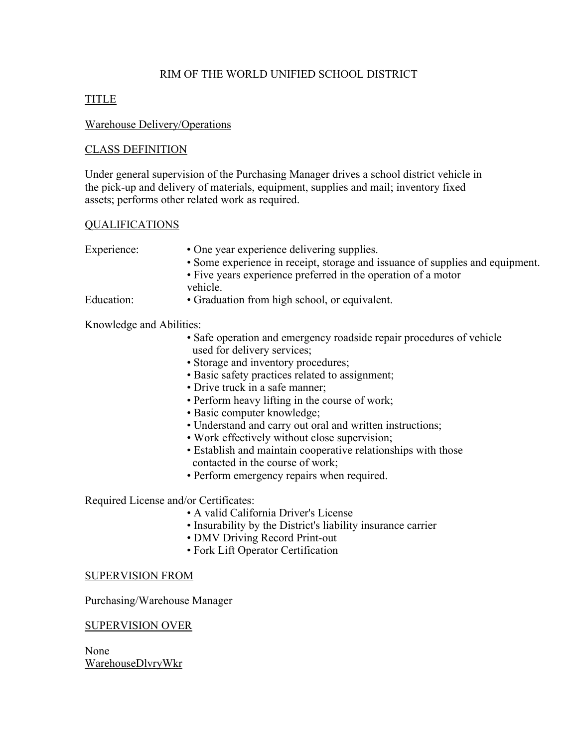### RIM OF THE WORLD UNIFIED SCHOOL DISTRICT

# TITLE

### Warehouse Delivery/Operations

## CLASS DEFINITION

Under general supervision of the Purchasing Manager drives a school district vehicle in the pick-up and delivery of materials, equipment, supplies and mail; inventory fixed assets; performs other related work as required.

### QUALIFICATIONS

| Experience:              | • One year experience delivering supplies.                                    |
|--------------------------|-------------------------------------------------------------------------------|
|                          | • Some experience in receipt, storage and issuance of supplies and equipment. |
|                          | • Five years experience preferred in the operation of a motor                 |
|                          | vehicle.                                                                      |
| Education:               | • Graduation from high school, or equivalent.                                 |
| Knowledge and Abilities: |                                                                               |
|                          | • Safe operation and emergency roadside repair procedures of vehicle          |
|                          | used for delivery services;                                                   |
|                          | • Storage and inventory procedures;                                           |

- Basic safety practices related to assignment;
- Drive truck in a safe manner;
- Perform heavy lifting in the course of work;
- Basic computer knowledge;
- Understand and carry out oral and written instructions;
- Work effectively without close supervision;
- Establish and maintain cooperative relationships with those contacted in the course of work;
- Perform emergency repairs when required.

Required License and/or Certificates:

- A valid California Driver's License
- Insurability by the District's liability insurance carrier
- DMV Driving Record Print-out
- Fork Lift Operator Certification

### SUPERVISION FROM

Purchasing/Warehouse Manager

### SUPERVISION OVER

None WarehouseDlvryWkr